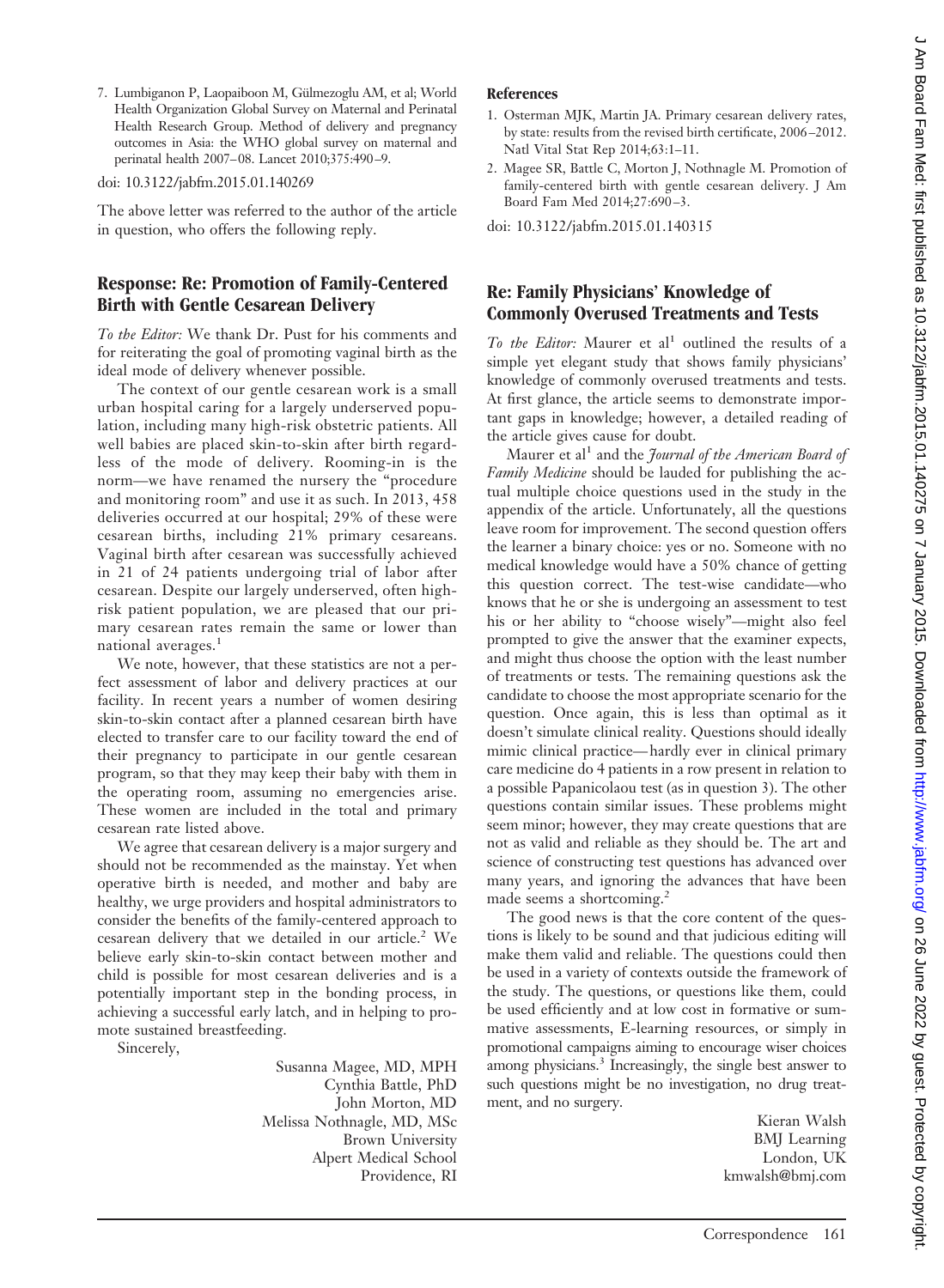J Am Board Fam Med: first published as 10.3122/jabfm.2015.01.140275 on 7 January 2015. Downloaded from http://www.jabfm.org/ on 26 June 2022 by guest. Protected by copyright. ) whis 2022 by guest Protected by guest publishing 2022 by guest publishing the Distribution of 2022 by guest published from the 2022 by guest published from the 2022 by guest published from 10.01.140. Www.jabim. Downloade

7. Lumbiganon P, Laopaiboon M, Gülmezoglu AM, et al; World Health Organization Global Survey on Maternal and Perinatal Health Research Group. Method of delivery and pregnancy outcomes in Asia: the WHO global survey on maternal and perinatal health 2007–08. Lancet 2010;375:490 –9.

doi: 10.3122/jabfm.2015.01.140269

The above letter was referred to the author of the article in question, who offers the following reply.

# **Response: Re: Promotion of Family-Centered Birth with Gentle Cesarean Delivery**

*To the Editor:* We thank Dr. Pust for his comments and for reiterating the goal of promoting vaginal birth as the ideal mode of delivery whenever possible.

The context of our gentle cesarean work is a small urban hospital caring for a largely underserved population, including many high-risk obstetric patients. All well babies are placed skin-to-skin after birth regardless of the mode of delivery. Rooming-in is the norm—we have renamed the nursery the "procedure and monitoring room" and use it as such. In 2013, 458 deliveries occurred at our hospital; 29% of these were cesarean births, including 21% primary cesareans. Vaginal birth after cesarean was successfully achieved in 21 of 24 patients undergoing trial of labor after cesarean. Despite our largely underserved, often highrisk patient population, we are pleased that our primary cesarean rates remain the same or lower than national averages.<sup>1</sup>

We note, however, that these statistics are not a perfect assessment of labor and delivery practices at our facility. In recent years a number of women desiring skin-to-skin contact after a planned cesarean birth have elected to transfer care to our facility toward the end of their pregnancy to participate in our gentle cesarean program, so that they may keep their baby with them in the operating room, assuming no emergencies arise. These women are included in the total and primary cesarean rate listed above.

We agree that cesarean delivery is a major surgery and should not be recommended as the mainstay. Yet when operative birth is needed, and mother and baby are healthy, we urge providers and hospital administrators to consider the benefits of the family-centered approach to cesarean delivery that we detailed in our article.<sup>2</sup> We believe early skin-to-skin contact between mother and child is possible for most cesarean deliveries and is a potentially important step in the bonding process, in achieving a successful early latch, and in helping to promote sustained breastfeeding.

Sincerely,

Susanna Magee, MD, MPH Cynthia Battle, PhD John Morton, MD Melissa Nothnagle, MD, MSc Brown University Alpert Medical School Providence, RI

#### **References**

- 1. Osterman MJK, Martin JA. Primary cesarean delivery rates, by state: results from the revised birth certificate, 2006 –2012. Natl Vital Stat Rep 2014;63:1–11.
- 2. Magee SR, Battle C, Morton J, Nothnagle M. Promotion of family-centered birth with gentle cesarean delivery. J Am Board Fam Med 2014;27:690 –3.

doi: 10.3122/jabfm.2015.01.140315

# **Re: Family Physicians' Knowledge of Commonly Overused Treatments and Tests**

*To the Editor:* Maurer et al<sup>1</sup> outlined the results of a simple yet elegant study that shows family physicians' knowledge of commonly overused treatments and tests. At first glance, the article seems to demonstrate important gaps in knowledge; however, a detailed reading of the article gives cause for doubt.

Maurer et al<sup>1</sup> and the *Journal of the American Board of Family Medicine* should be lauded for publishing the actual multiple choice questions used in the study in the appendix of the article. Unfortunately, all the questions leave room for improvement. The second question offers the learner a binary choice: yes or no. Someone with no medical knowledge would have a 50% chance of getting this question correct. The test-wise candidate—who knows that he or she is undergoing an assessment to test his or her ability to "choose wisely"—might also feel prompted to give the answer that the examiner expects, and might thus choose the option with the least number of treatments or tests. The remaining questions ask the candidate to choose the most appropriate scenario for the question. Once again, this is less than optimal as it doesn't simulate clinical reality. Questions should ideally mimic clinical practice— hardly ever in clinical primary care medicine do 4 patients in a row present in relation to a possible Papanicolaou test (as in question 3). The other questions contain similar issues. These problems might seem minor; however, they may create questions that are not as valid and reliable as they should be. The art and science of constructing test questions has advanced over many years, and ignoring the advances that have been made seems a shortcoming.<sup>2</sup>

The good news is that the core content of the questions is likely to be sound and that judicious editing will make them valid and reliable. The questions could then be used in a variety of contexts outside the framework of the study. The questions, or questions like them, could be used efficiently and at low cost in formative or summative assessments, E-learning resources, or simply in promotional campaigns aiming to encourage wiser choices among physicians.<sup>3</sup> Increasingly, the single best answer to such questions might be no investigation, no drug treatment, and no surgery.

Kieran Walsh BMJ Learning London, UK kmwalsh@bmj.com